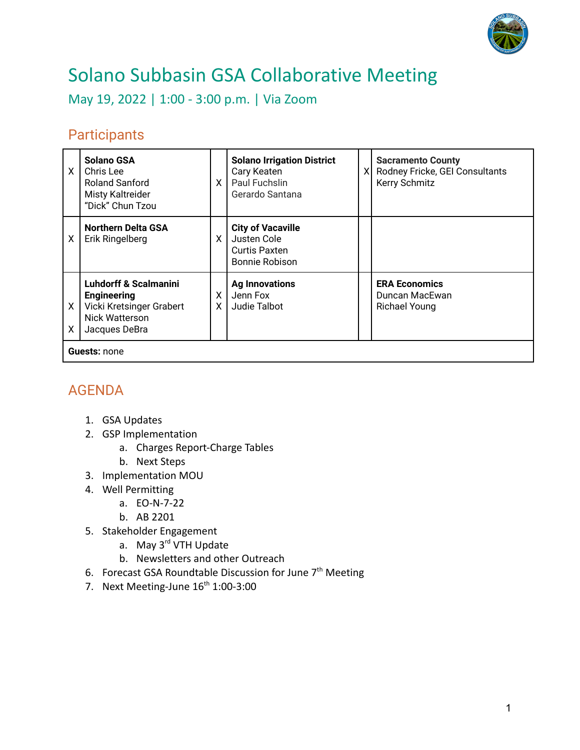

## Solano Subbasin GSA Collaborative Meeting

May 19, 2022 | 1:00 - 3:00 p.m. | Via Zoom

## **Participants**

| X                   | <b>Solano GSA</b><br>Chris Lee<br><b>Roland Sanford</b><br>Misty Kaltreider<br>"Dick" Chun Tzou                       | $\times$ | <b>Solano Irrigation District</b><br>Cary Keaten<br>Paul Fuchslin<br>Gerardo Santana | ΧI | <b>Sacramento County</b><br>Rodney Fricke, GEI Consultants<br>Kerry Schmitz |
|---------------------|-----------------------------------------------------------------------------------------------------------------------|----------|--------------------------------------------------------------------------------------|----|-----------------------------------------------------------------------------|
| χ                   | <b>Northern Delta GSA</b><br>Erik Ringelberg                                                                          | X.       | <b>City of Vacaville</b><br>Justen Cole<br>Curtis Paxten<br>Bonnie Robison           |    |                                                                             |
| X<br>X              | <b>Luhdorff &amp; Scalmanini</b><br><b>Engineering</b><br>Vicki Kretsinger Grabert<br>Nick Watterson<br>Jacques DeBra | X<br>X.  | <b>Ag Innovations</b><br>Jenn Fox<br>Judie Talbot                                    |    | <b>ERA Economics</b><br>Duncan MacEwan<br><b>Richael Young</b>              |
| <b>Guests: none</b> |                                                                                                                       |          |                                                                                      |    |                                                                             |

## AGENDA

- 1. GSA Updates
- 2. GSP Implementation
	- a. Charges Report-Charge Tables
	- b. Next Steps
- 3. Implementation MOU
- 4. Well Permitting
	- a. EO-N-7-22
	- b. AB 2201
- 5. Stakeholder Engagement
	- a. May 3<sup>rd</sup> VTH Update
	- b. Newsletters and other Outreach
- 6. Forecast GSA Roundtable Discussion for June 7th Meeting
- 7. Next Meeting-June  $16<sup>th</sup> 1:00-3:00$